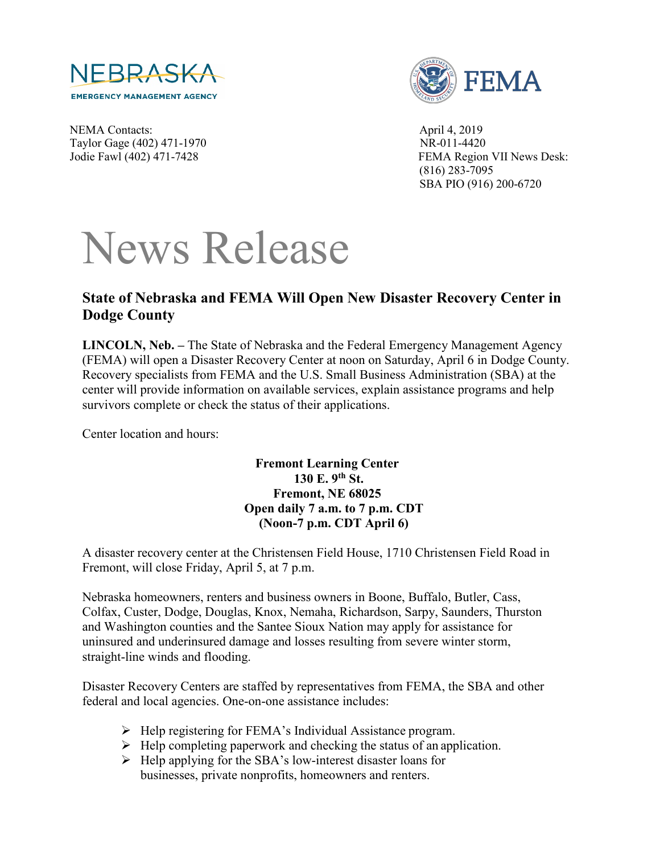



NEMA Contacts: April 4, 2019 Taylor Gage (402) 471-1970 NR-011-4420

Jodie Fawl (402) 471-7428 FEMA Region VII News Desk: (816) 283-7095 SBA PIO (916) 200-6720

## News Release

## **State of Nebraska and FEMA Will Open New Disaster Recovery Center in Dodge County**

**LINCOLN, Neb. –** The State of Nebraska and the Federal Emergency Management Agency (FEMA) will open a Disaster Recovery Center at noon on Saturday, April 6 in Dodge County. Recovery specialists from FEMA and the U.S. Small Business Administration (SBA) at the center will provide information on available services, explain assistance programs and help survivors complete or check the status of their applications.

Center location and hours:

**Fremont Learning Center 130 E. 9th St. Fremont, NE 68025 Open daily 7 a.m. to 7 p.m. CDT (Noon-7 p.m. CDT April 6)** 

A disaster recovery center at the Christensen Field House, 1710 Christensen Field Road in Fremont, will close Friday, April 5, at 7 p.m.

Nebraska homeowners, renters and business owners in Boone, Buffalo, Butler, Cass, Colfax, Custer, Dodge, Douglas, Knox, Nemaha, Richardson, Sarpy, Saunders, Thurston and Washington counties and the Santee Sioux Nation may apply for assistance for uninsured and underinsured damage and losses resulting from severe winter storm, straight-line winds and flooding.

Disaster Recovery Centers are staffed by representatives from FEMA, the SBA and other federal and local agencies. One-on-one assistance includes:

- $\triangleright$  Help registering for FEMA's Individual Assistance program.
- $\triangleright$  Help completing paperwork and checking the status of an application.
- $\triangleright$  Help applying for the SBA's low-interest disaster loans for businesses, private nonprofits, homeowners and renters.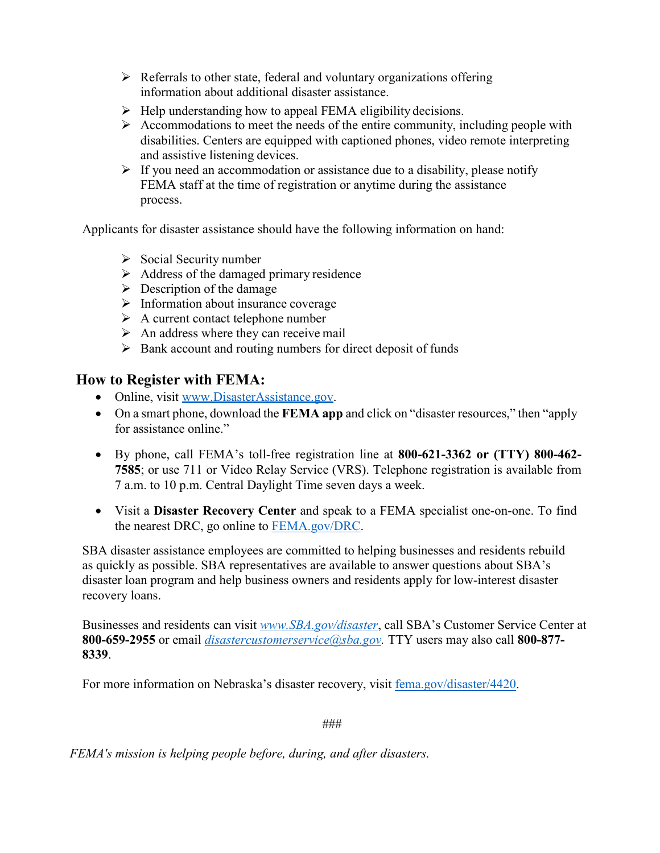- $\triangleright$  Referrals to other state, federal and voluntary organizations offering information about additional disaster assistance.
- $\triangleright$  Help understanding how to appeal FEMA eligibility decisions.
- $\triangleright$  Accommodations to meet the needs of the entire community, including people with disabilities. Centers are equipped with captioned phones, video remote interpreting and assistive listening devices.
- $\triangleright$  If you need an accommodation or assistance due to a disability, please notify FEMA staff at the time of registration or anytime during the assistance process.

Applicants for disaster assistance should have the following information on hand:

- $\triangleright$  Social Security number
- $\triangleright$  Address of the damaged primary residence
- $\triangleright$  Description of the damage
- $\triangleright$  Information about insurance coverage
- $\triangleright$  A current contact telephone number
- $\triangleright$  An address where they can receive mail
- $\triangleright$  Bank account and routing numbers for direct deposit of funds

## **How to Register with FEMA:**

- Online, visit [www.DisasterAssistance.gov.](http://www.disasterassistance.gov/)
- On a smart phone, download the **FEMA app** and click on "disaster resources," then "apply for assistance online."
- By phone, call FEMA's toll-free registration line at **800-621-3362 or (TTY) 800-462- 7585**; or use 711 or Video Relay Service (VRS). Telephone registration is available from 7 a.m. to 10 p.m. Central Daylight Time seven days a week.
- Visit a **Disaster Recovery Center** and speak to a FEMA specialist one-on-one. To find the nearest DRC, go online to [FEMA.gov/DRC.](https://www.fema.gov/disaster-recovery-centers)

SBA disaster assistance employees are committed to helping businesses and residents rebuild as quickly as possible. SBA representatives are available to answer questions about SBA's disaster loan program and help business owners and residents apply for low-interest disaster recovery loans.

Businesses and residents can visit *[www.SBA.gov/disaster](http://www.sba.gov/disaster)*, call SBA's Customer Service Center at **800-659-2955** or email *[disastercustomerservice@sba.gov.](mailto:disastercustomerservice@sba.gov)* TTY users may also call **800-877- 8339**.

For more information on Nebraska's disaster recovery, visit [fema.gov/disaster/4420.](https://www.fema.gov/disaster/4420)

###

*FEMA's mission is helping people before, during, and after disasters.*